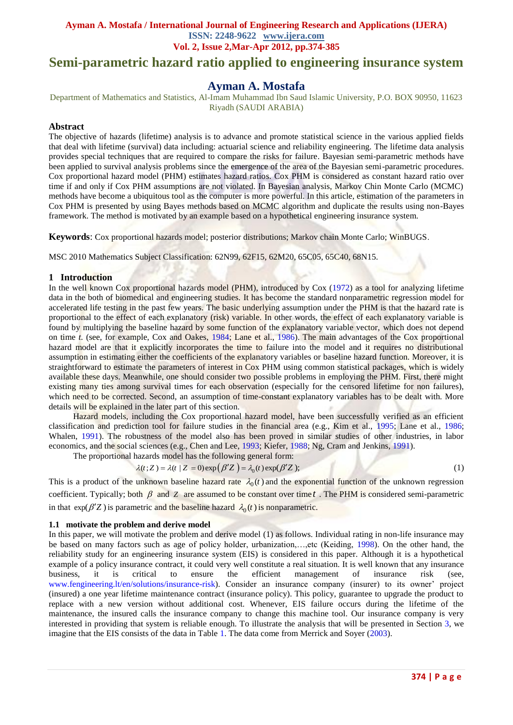# **Semi-parametric hazard ratio applied to engineering insurance system**

## **Ayman A. Mostafa**

Department of Mathematics and Statistics, Al-Imam Muhammad Ibn Saud Islamic University, P.O. BOX 90950, 11623 Riyadh (SAUDI ARABIA)

## **Abstract**

The objective of hazards (lifetime) analysis is to advance and promote statistical science in the various applied fields that deal with lifetime (survival) data including: actuarial science and reliability engineering. The lifetime data analysis provides special techniques that are required to compare the risks for failure. Bayesian semi-parametric methods have been applied to survival analysis problems since the emergence of the area of the Bayesian semi-parametric procedures. Cox proportional hazard model (PHM) estimates hazard ratios. Cox PHM is considered as constant hazard ratio over time if and only if Cox PHM assumptions are not violated. In Bayesian analysis, Markov Chin Monte Carlo (MCMC) methods have become a ubiquitous tool as the computer is more powerful. In this article, estimation of the parameters in Cox PHM is presented by using Bayes methods based on MCMC algorithm and duplicate the results using non-Bayes framework. The method is motivated by an example based on a hypothetical engineering insurance system.

**Keywords**: Cox proportional hazards model; posterior distributions; Markov chain Monte Carlo; WinBUGS.

MSC 2010 Mathematics Subject Classification: 62N99, 62F15, 62M20, 65C05, 65C40, 68N15.

#### **1 Introduction**

In the well known Cox proportional hazards model (PHM), introduced by Cox (1972) as a tool for analyzing lifetime data in the both of biomedical and engineering studies. It has become the standard nonparametric regression model for accelerated life testing in the past few years. The basic underlying assumption under the PHM is that the hazard rate is proportional to the effect of each explanatory (risk) variable. In other words, the effect of each explanatory variable is found by multiplying the baseline hazard by some function of the explanatory variable vector, which does not depend on time *t*. (see, for example, Cox and Oakes, 1984; Lane et al., 1986). The main advantages of the Cox proportional hazard model are that it explicitly incorporates the time to failure into the model and it requires no distributional assumption in estimating either the coefficients of the explanatory variables or baseline hazard function. Moreover, it is straightforward to estimate the parameters of interest in Cox PHM using common statistical packages, which is widely available these days. Meanwhile, one should consider two possible problems in employing the PHM. First, there might existing many ties among survival times for each observation (especially for the censored lifetime for non failures), which need to be corrected. Second, an assumption of time-constant explanatory variables has to be dealt with. More details will be explained in the later part of this section.

Hazard models, including the Cox proportional hazard model, have been successfully verified as an efficient classification and prediction tool for failure studies in the financial area (e.g., Kim et al., 1995; Lane et al., 1986; Whalen, 1991). The robustness of the model also has been proved in similar studies of other industries, in labor economics, and the social sciences (e.g., Chen and Lee, 1993; Kiefer, 1988; Ng, Cram and Jenkins, 1991).

The proportional hazards model has the following general form:<br>  $\lambda(t; Z) = \lambda(t | Z = 0) \exp(\beta' Z) = \lambda_0(t) \exp(\beta' Z)$ ;

$$
\lambda(t;Z) = \lambda(t \mid Z = 0) \exp(\beta' Z) = \lambda_0(t) \exp(\beta' Z); \tag{1}
$$

This is a product of the unknown baseline hazard rate  $\lambda_0(t)$  and the exponential function of the unknown regression coefficient. Typically; both  $\beta$  and  $\gamma$  are assumed to be constant over time  $t$ . The PHM is considered semi-parametric in that  $\exp(\beta' Z)$  is parametric and the baseline hazard  $\lambda_0(t)$  is nonparametric.

#### **1.1 motivate the problem and derive model**

In this paper, we will motivate the problem and derive model (1) as follows. Individual rating in non-life insurance may be based on many factors such as age of policy holder, urbanization,…,etc (Keiding, 1998). On the other hand, the reliability study for an engineering insurance system (EIS) is considered in this paper. Although it is a hypothetical example of a policy insurance contract, it could very well constitute a real situation. It is well known that any insurance business, it is critical to ensure the efficient management of insurance risk (see, [www.fengineering.lt/en/solutions/insurance-risk\)](http://www.fengineering.lt/en/solutions/insurance-risk). Consider an insurance company (insurer) to its owner' project (insured) a one year lifetime maintenance contract (insurance policy). This policy, guarantee to upgrade the product to replace with a new version without additional cost. Whenever, EIS failure occurs during the lifetime of the maintenance, the insured calls the insurance company to change this machine tool. Our insurance company is very interested in providing that system is reliable enough. To illustrate the analysis that will be presented in Section 3, we imagine that the EIS consists of the data in Table 1. The data come from Merrick and Soyer (2003).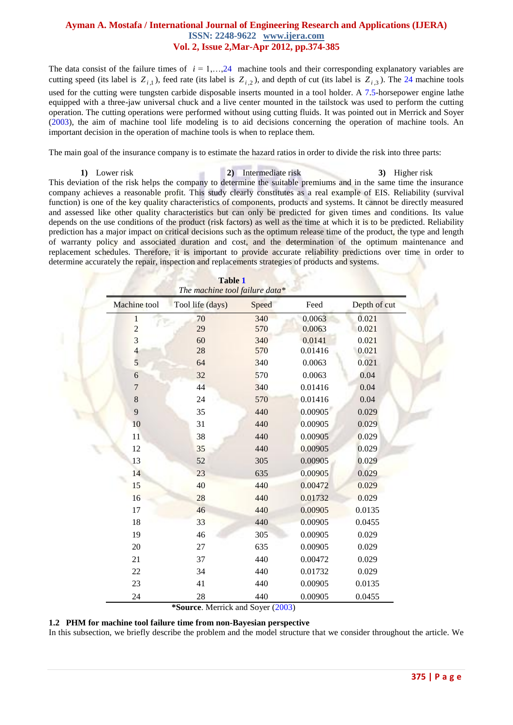The data consist of the failure times of  $i = 1, \ldots, 24$  machine tools and their corresponding explanatory variables are cutting speed (its label is  $Z_{i,1}$ ), feed rate (its label is  $Z_{i,2}$ ), and depth of cut (its label is  $Z_{i,3}$ ). The 24 machine tools used for the cutting were tungsten carbide disposable inserts mounted in a tool holder. A 7.5-horsepower engine lathe equipped with a three-jaw universal chuck and a live center mounted in the tailstock was used to perform the cutting operation. The cutting operations were performed without using cutting fluids. It was pointed out in Merrick and Soyer (2003), the aim of machine tool life modeling is to aid decisions concerning the operation of machine tools. An important decision in the operation of machine tools is when to replace them.

The main goal of the insurance company is to estimate the hazard ratios in order to divide the risk into three parts:

**1)** Lower risk **2)** Intermediate risk **3)** Higher risk This deviation of the risk helps the company to determine the suitable premiums and in the same time the insurance company achieves a reasonable profit. This study clearly constitutes as a real example of EIS. Reliability (survival function) is one of the key quality characteristics of components, products and systems. It cannot be directly measured and assessed like other quality characteristics but can only be predicted for given times and conditions. Its value depends on the use conditions of the product (risk factors) as well as the time at which it is to be predicted. Reliability prediction has a major impact on critical decisions such as the optimum release time of the product, the type and length of warranty policy and associated duration and cost, and the determination of the optimum maintenance and replacement schedules. Therefore, it is important to provide accurate reliability predictions over time in order to determine accurately the repair, inspection and replacements strategies of products and systems.

| <b>Table 1</b><br>The machine tool failure data* |                  |       |         |              |
|--------------------------------------------------|------------------|-------|---------|--------------|
| Machine tool                                     | Tool life (days) | Speed | Feed    | Depth of cut |
| $\mathbf{1}$                                     | 70               | 340   | 0.0063  | 0.021        |
| $\overline{c}$                                   | 29               | 570   | 0.0063  | 0.021        |
| $\overline{\mathbf{3}}$                          | 60               | 340   | 0.0141  | 0.021        |
| $\overline{\mathcal{L}}$                         | 28               | 570   | 0.01416 | 0.021        |
| $\overline{5}$                                   | 64               | 340   | 0.0063  | 0.021        |
| $\boldsymbol{6}$                                 | 32               | 570   | 0.0063  | 0.04         |
| $\overline{7}$                                   | 44               | 340   | 0.01416 | 0.04         |
| $\,8\,$                                          | 24               | 570   | 0.01416 | 0.04         |
| 9                                                | 35               | 440   | 0.00905 | 0.029        |
| 10                                               | 31               | 440   | 0.00905 | 0.029        |
| 11                                               | 38               | 440   | 0.00905 | 0.029        |
| 12                                               | 35               | 440   | 0.00905 | 0.029        |
| 13                                               | 52               | 305   | 0.00905 | 0.029        |
| 14                                               | 23               | 635   | 0.00905 | 0.029        |
| 15                                               | 40               | 440   | 0.00472 | 0.029        |
| 16                                               | 28               | 440   | 0.01732 | 0.029        |
| 17                                               | 46               | 440   | 0.00905 | 0.0135       |
| 18                                               | 33               | 440   | 0.00905 | 0.0455       |
| 19                                               | 46               | 305   | 0.00905 | 0.029        |
| 20                                               | 27               | 635   | 0.00905 | 0.029        |
| 21                                               | 37               | 440   | 0.00472 | 0.029        |
| 22                                               | 34               | 440   | 0.01732 | 0.029        |
| 23                                               | 41               | 440   | 0.00905 | 0.0135       |
| 24                                               | 28               | 440   | 0.00905 | 0.0455       |

 **\*Source**. Merrick and Soyer (2003)

**1.2 PHM for machine tool failure time from non-Bayesian perspective**

In this subsection, we briefly describe the problem and the model structure that we consider throughout the article. We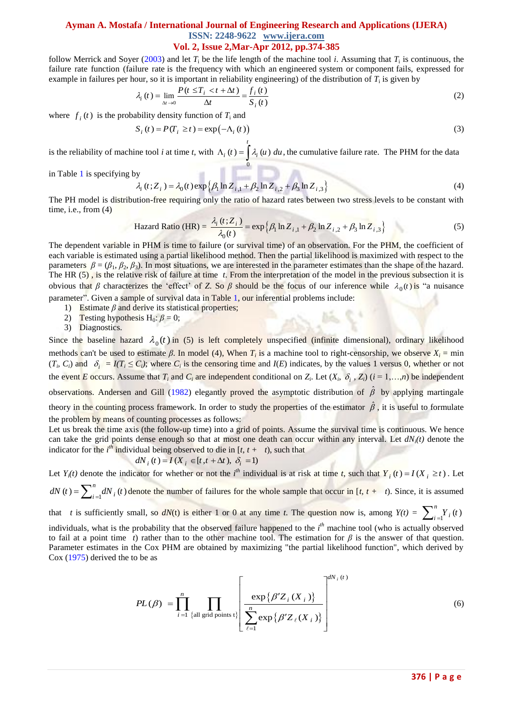follow Merrick and Soyer  $(2003)$  and let  $T_i$  be the life length of the machine tool *i*. Assuming that  $T_i$  is continuous, the failure rate function (failure rate is the [frequency](http://en.wikipedia.org/wiki/Frequency) with which an [engineered](http://en.wikipedia.org/wiki/Engineered) system or [component](http://en.wikipedia.org/wiki/Component) fails, expressed for

example in failures per hour, so it is important in reliability engineering) of the distribution of 
$$
T_i
$$
 is given by\n
$$
\lambda_i(t) = \lim_{\Delta t \to 0} \frac{P(t \leq T_i < t + \Delta t)}{\Delta t} = \frac{f_i(t)}{S_i(t)}\tag{2}
$$

where  $f_i(t)$  is the probability density function of  $T_i$  and

$$
S_i(t) = P(T_i \ge t) = \exp(-\Lambda_i(t))
$$
\n(3)

is the reliability of machine tool *i* at time *t*, with  $\mathbf{0}$  $(t) = \int \lambda_i(u) du$ , *t*  $\Lambda_i(t) = \int \lambda_i(u) \, du$ , the cumulative failure rate. The PHM for the data

in Table 1 is specifying by

y  
\n
$$
\lambda_i(t; Z_i) = \lambda_0(t) \exp \{ \beta_1 \ln Z_{i,1} + \beta_2 \ln Z_{i,2} + \beta_3 \ln Z_{i,3} \}
$$
\n(4)

The PH model is distribution-free requiring only the ratio of hazard rates between two stress levels to be constant with time, i.e., from  $(4)$ 

$$
\text{Hazard Ratio (HR)} = \frac{\lambda_i(t; Z_i)}{\lambda_0(t)} = \exp\left\{\beta_1 \ln Z_{i,1} + \beta_2 \ln Z_{i,2} + \beta_3 \ln Z_{i,3}\right\} \tag{5}
$$

The dependent variable in PHM is time to failure (or survival time) of an observation. For the PHM, the coefficient of each variable is estimated using a partial likelihood method. Then the partial likelihood is maximized with respect to the parameters  $\beta = (\beta_1, \beta_2, \beta_3)$ . In most situations, we are interested in the parameter estimates than the shape of the hazard. The HR (5) , is the relative risk of failure at time *t*. From the interpretation of the model in the previous subsection it is obvious that *β* characterizes the 'effect' of *Z*. So *β* should be the focus of our inference while  $\lambda_0(t)$  is "a nuisance parameter". Given a sample of survival data in Table 1, our inferential problems include:

- 1) Estimate *β* and derive its statistical properties;
- 2) Testing hypothesis H<sub>0</sub>:  $\beta = 0$ ;
- 3) Diagnostics.

Since the baseline hazard  $\lambda_0(t)$  in (5) is left completely unspecified (infinite dimensional), ordinary likelihood methods can't be used to estimate  $\beta$ . In model (4), When  $T_i$  is a machine tool to right-censorship, we observe  $X_i = \min$  $(T_i, C_i)$  and  $\delta_i = I(T_i \leq C_i)$ ; where  $C_i$  is the censoring time and  $I(E)$  indicates, by the values 1 versus 0, whether or not the event *E* occurs. Assume that  $T_i$  and  $C_i$  are independent conditional on  $Z_i$ . Let  $(X_i, \delta_i, Z_i)$   $(i = 1,...,n)$  be independent observations. Andersen and Gill (1982) elegantly proved the asymptotic distribution of  $\hat{\beta}$  by applying martingale theory in the counting process framework. In order to study the properties of the estimator  $\hat{\beta}$ , it is useful to formulate the problem by means of counting processes as follows:

Let us break the time axis (the follow-up time) into a grid of points. Assume the survival time is continuous. We hence can take the grid points dense enough so that at most one death can occur within any interval. Let  $dN_i(t)$  denote the indicator for the *i*<sup>th</sup> individual being observed to die in [*t, t* + *t*), such that  $dN_i(t) = I(X_i \in [t, t + \Delta t), \delta_i = 1)$ 

$$
dN_i(t) = I(X_i \in [t, t + \Delta t), \delta_i = 1)
$$

Let  $Y_i(t)$  denote the indicator for whether or not the *i*<sup>th</sup> individual is at risk at time *t*, such that  $Y_i(t) = I(X_i \ge t)$ . Let

dN (t) = 
$$
\sum_{i=1}^{n} dN_i(t)
$$
 denote the number of failures for the whole sample that occur in [t, t + t). Since, it is assumed

that *t* is sufficiently small, so  $dN(t)$  is either 1 or 0 at any time *t*. The question now is, among  $Y(t) = \sum_{i=1}^{n} Y_i(t)$  $\sum_{i=1}^{n} Y_i$  (*t* 

individuals, what is the probability that the observed failure happened to the *i*<sup>th</sup> machine tool (who is actually observed to fail at a point time *t*) rather than to the other machine tool. The estimation for  $\beta$  is the answer of that question. Parameter estimates in the Cox PHM are obtained by maximizing "the partial likelihood function", which derived by Cox (1975) derived the to be as

$$
PL(\beta) = \prod_{i=1}^{n} \prod_{\{\text{all grid points } t\}} \left[ \frac{\exp\{\beta' Z_i(X_i)\}}{\sum_{\ell=1}^{n} \exp\{\beta' Z_{\ell}(X_i)\}} \right]^{dN_i(t)}
$$
(6)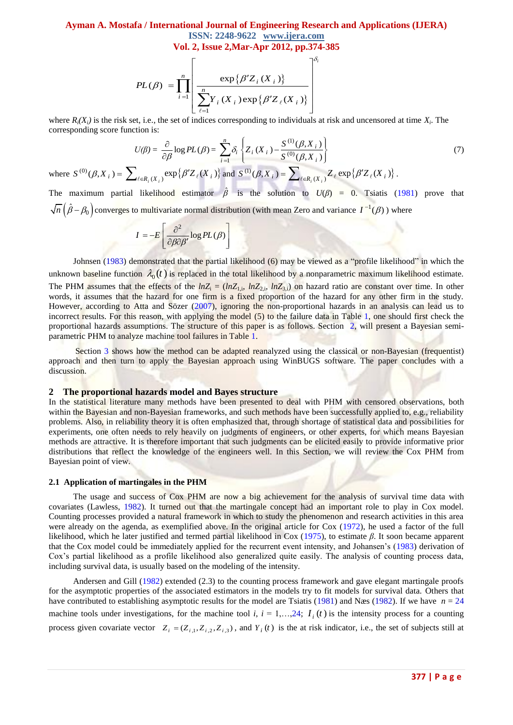## **Ayman A. Mostafa / International Journal of Engineering Research and Applications (IJERA) ISSN: 2248-9622 www.ijera.com**

$$
\text{Vol. 2, Issue 2, Mar-Apr 2012, pp.374-385}
$$
\n
$$
PL(\beta) = \prod_{i=1}^{n} \left[ \frac{\exp\{\beta' Z_i(X_i)\}}{\sum_{\ell=1}^{n} Y_i(X_i) \exp\{\beta' Z_{\ell}(X_i)\}}
$$

where  $R_i(X_i)$  is the risk set, i.e., the set of indices corresponding to individuals at risk and uncensored at time  $X_i$ . The corresponding score function is:

$$
U(\beta) = \frac{\partial}{\partial \beta} \log PL(\beta) = \sum_{i=1}^{n} \delta_i \left\{ Z_i(X_i) - \frac{S^{(1)}(\beta, X_i)}{S^{(0)}(\beta, X_i)} \right\}
$$
(7)

where  $S^{(0)}(\beta, X_i) = \sum_{\ell \in R_i(X_i)} \exp \{ \beta' Z_{\ell}(X_i) \}$  and  $S^{(1)}(\beta, X_i) = \sum_{\ell \in R_i(X_i)} Z_{\ell} \exp \{ \beta' Z_{\ell}(X_i) \}$ .

The maximum partial likelihood estimator  $\hat{\beta}$  is the solution to  $U(\beta) = 0$ . Tsiatis (1981) prove that  $\overline{n}(\hat\beta-\beta_0)$  converges to multivariate normal distribution (with mean Zero and variance  $I^{-1}(\beta)$  ) where

$$
I = -E \left[ \frac{\partial^2}{\partial \beta \partial \beta'} \log PL(\beta) \right]
$$

Johnsen (1983) demonstrated that the partial likelihood (6) may be viewed as a "profile likelihood" in which the unknown baseline function  $\lambda_0(t)$  is replaced in the total likelihood by a nonparametric maximum likelihood estimate. The PHM assumes that the effects of the  $ln Z_i = (ln Z_{1,i}, ln Z_{2,i}, ln Z_{3,i})$  on hazard ratio are constant over time. In other words, it assumes that the hazard for one firm is a fixed proportion of the hazard for any other firm in the study. However, according to Atta and Sözer (2007), ignoring the non-proportional hazards in an analysis can lead us to incorrect results. For this reason, with applying the model (5) to the failure data in Table 1, one should first check the proportional hazards assumptions. The structure of this paper is as follows. Section 2, will present a Bayesian semiparametric PHM to analyze machine tool failures in Table 1.

Section 3 shows how the method can be adapted reanalyzed using the classical or non-Bayesian (frequentist) approach and then turn to apply the Bayesian approach using WinBUGS software. The paper concludes with a discussion.

#### **2 The proportional hazards model and Bayes structure**

In the statistical literature many methods have been presented to deal with PHM with censored observations, both within the Bayesian and non-Bayesian frameworks, and such methods have been successfully applied to, e.g., reliability problems. Also, in reliability theory it is often emphasized that, through shortage of statistical data and possibilities for experiments, one often needs to rely heavily on judgments of engineers, or other experts, for which means Bayesian methods are attractive. It is therefore important that such judgments can be elicited easily to provide informative prior distributions that reflect the knowledge of the engineers well. In this Section, we will review the Cox PHM from Bayesian point of view.

#### **2.1 Application of martingales in the PHM**

The usage and success of Cox PHM are now a big achievement for the analysis of survival time data with covariates (Lawless, 1982). It turned out that the martingale concept had an important role to play in Cox model. Counting processes provided a natural framework in which to study the phenomenon and research activities in this area were already on the agenda, as exemplified above. In the original article for Cox (1972), he used a factor of the full likelihood, which he later justified and termed partial likelihood in Cox (1975), to estimate *β*. It soon became apparent that the Cox model could be immediately applied for the recurrent event intensity, and Johansen's (1983) derivation of Cox's partial likelihood as a profile likelihood also generalized quite easily. The analysis of counting process data, including survival data, is usually based on the modeling of the intensity.

Andersen and Gill (1982) extended (2.3) to the counting process framework and gave elegant martingale proofs for the asymptotic properties of the associated estimators in the models try to fit models for survival data. Others that have contributed to establishing asymptotic results for the model are Tsiatis (1981) and Næs (1982). If we have  $n = 24$ machine tools under investigations, for the machine tool *i*,  $i = 1,...,24$ ;  $I_i(t)$  is the intensity process for a counting process given covariate vector  $Z_i = (Z_{i,1}, Z_{i,2}, Z_{i,3})$ , and  $Y_i(t)$  is the at risk indicator, i.e., the set of subjects still at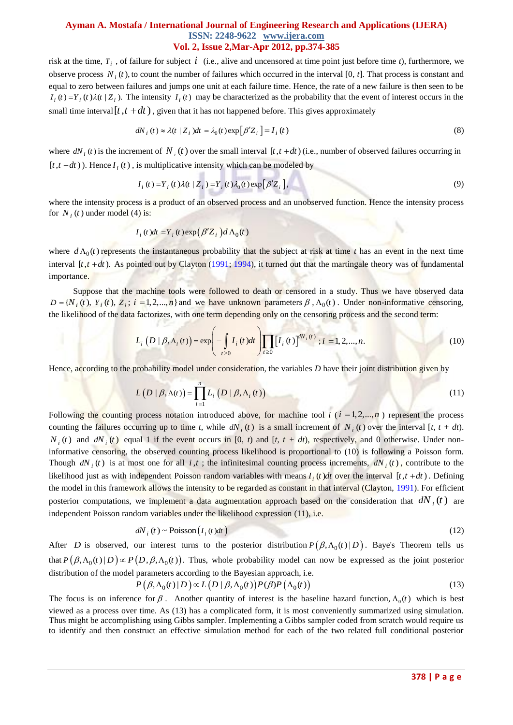risk at the time,  $T_i$ , of failure for subject  $i$  (i.e., alive and uncensored at time point just before time  $t$ ), furthermore, we observe process  $N_i(t)$ , to count the number of failures which occurred in the interval [0,  $t$ ]. That process is constant and equal to zero between failures and jumps one unit at each failure time. Hence, the rate of a new failure is then seen to be  $I_i(t) = Y_i(t)\lambda(t | Z_i)$ . The intensity  $I_i(t)$  may be characterized as the probability that the event of interest occurs in the small time interval  $[t, t + dt)$ , given that it has not happened before. This gives approximately

$$
dN_i(t) \approx \lambda(t \mid Z_i)dt = \lambda_0(t) \exp[\beta' Z_i] = I_i(t)
$$
\n(8)

where  $dN_i(t)$  is the increment of  $N_i(t)$  over the small interval  $[t, t+dt)$  (i.e., number of observed failures occurring in  $[t, t+dt)$ ). Hence  $I_i(t)$ , is multiplicative intensity which can be modeled by

$$
I_i(t) = Y_i(t)\lambda(t | Z_i) = Y_i(t)\lambda_0(t) \exp[\beta' Z_i],
$$
\n(9)

where the intensity process is a product of an observed process and an unobserved function. Hence the intensity process for  $N_i(t)$  under model (4) is:

$$
I_i(t)dt = Y_i(t) \exp(\beta' Z_i) d\Lambda_0(t)
$$

where  $d\Lambda_0(t)$  represents the instantaneous probability that the subject at risk at time *t* has an event in the next time interval  $[t, t + dt)$ . As pointed out by Clayton (1991; 1994), it turned out that the martingale theory was of fundamental importance.

Suppose that the machine tools were followed to death or censored in a study. Thus we have observed data Suppose that the machine tools were followed to death or censored in a study. Thus we have observed data  $D = \{N_i(t), Y_i(t), Z_i; i = 1, 2, ..., n\}$  and we have unknown parameters  $\beta$ ,  $\Lambda_0(t)$ . Under non-informative censoring,

the likelihood of the data factorizes, with one term depending only on the censoring process and the second term:  

$$
L_i(D \mid \beta, \Lambda_i(t)) = \exp\left(-\int_{t \ge 0} I_i(t)dt\right) \prod_{t \ge 0} [I_i(t)]^{dN_i(t)}; i = 1, 2, ..., n.
$$
 (10)

Hence, according to the probability model under consideration, the variables *D* have their joint distribution given by

$$
L(D \mid \beta, \Lambda(t)) = \prod_{i=1}^{n} L_i(D \mid \beta, \Lambda_i(t))
$$
\n(11)

Following the counting process notation introduced above, for machine tool  $i$  ( $i = 1, 2, \ldots, n$ ) represent the process counting the failures occurring up to time *t*, while  $dN_i(t)$  is a small increment of  $N_i(t)$  over the interval [*t*,  $t + dt$ ).  $N_i(t)$  and  $dN_i(t)$  equal 1 if the event occurs in [0, *t*) and [*t*,  $t + dt$ ), respectively, and 0 otherwise. Under noninformative censoring, the observed counting process likelihood is proportional to (10) is following a Poisson form. Though  $dN_i(t)$  is at most one for all *i*,*t*; the infinitesimal counting process increments,  $dN_i(t)$ , contribute to the likelihood just as with independent Poisson random variables with means  $I_i(t)dt$  over the interval  $[t, t+dt)$ . Defining the model in this framework allows the intensity to be regarded as constant in that interval (Clayton, 1991). For efficient posterior computations, we implement a data augmentation approach based on the consideration that  $dN_i(t)$  are independent Poisson random variables under the likelihood expression (11), i.e.

$$
dN_i(t) \sim \text{Poisson}\left(I_i(t)dt\right) \tag{12}
$$

After *D* is observed, our interest turns to the posterior distribution  $P(\beta, \Lambda_0(t) | D)$ . Baye's Theorem tells us that  $P(\beta, \Lambda_0(t)|D) \propto P(D, \beta, \Lambda_0(t))$ . Thus, whole probability model can now be expressed as the joint posterior distribution of the model parameters according to the Bayesian approach, i.e.<br> $P(\beta, \Lambda_0(t) | D) \propto L(D | \beta, \Lambda_0(t)) P(\beta) P(\Lambda_0(t))$ (13)

The focus is on inference for 
$$
\beta
$$
. Another quantity of interest is the baseline hazard function,  $\Lambda_0(t)$  which is best viewed as a process over time. As (13) has a complicated form, it is most conveniently summarized using simulation. Thus might be accomplishing using Gibbs sampler. Implementing a Gibbs sampler coded from scratch would require us to identify and then construct an effective simulation method for each of the two related full conditional posterior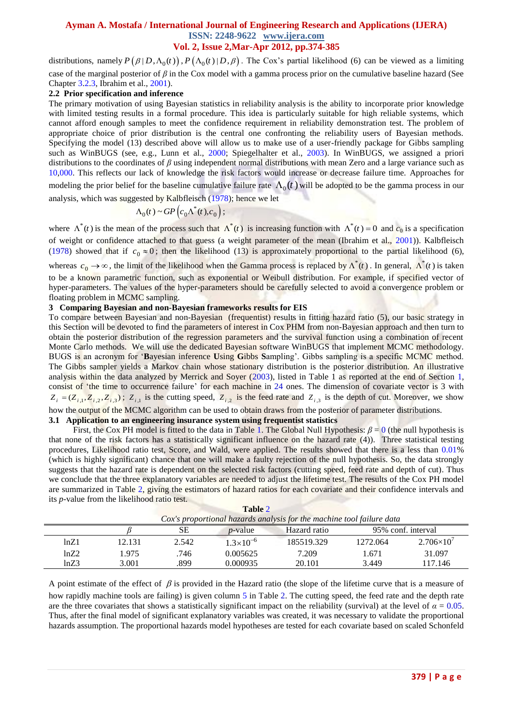distributions, namely  $P(\beta|D, \Lambda_0(t)), P(\Lambda_0(t)|D, \beta)$ . The Cox's partial likelihood (6) can be viewed as a limiting case of the marginal posterior of *β* in the Cox model with a gamma process prior on the cumulative baseline hazard (See Chapter 3.2.3, Ibrahim et al., 2001).

#### **2.2 Prior specification and inference**

The primary motivation of using Bayesian statistics in reliability analysis is the ability to incorporate prior knowledge with limited testing results in a formal procedure. This idea is particularly suitable for high reliable systems, which cannot afford enough samples to meet the confidence requirement in reliability demonstration test. The problem of appropriate choice of prior distribution is the central one confronting the reliability users of Bayesian methods. Specifying the model (13) described above will allow us to make use of a user-friendly package for Gibbs sampling such as WinBUGS (see, e.g., Lunn et al., 2000; Spiegelhalter et al., 2003). In WinBUGS, we assigned a priori distributions to the coordinates of *β* using independent normal distributions with mean Zero and a large variance such as 10,000. This reflects our lack of knowledge the risk factors would increase or decrease failure time. Approaches for modeling the prior belief for the baseline cumulative failure rate  $\Lambda_0(t)$  will be adopted to be the gamma process in our analysis, which was suggested by Kalbfleisch (1978); hence we let

$$
\Lambda_0(t) \sim GP\left(c_0\Lambda^*(t), c_0\right);
$$

where  $\Lambda^*(t)$  is the mean of the process such that  $\Lambda^*(t)$  is increasing function with  $\Lambda^*(t) = 0$  and  $c_0$  is a specification of weight or confidence attached to that guess (a weight parameter of the mean (Ibrahim et al., 2001)). Kalbfleisch (1978) showed that if  $c_0 \approx 0$ ; then the likelihood (13) is approximately proportional to the partial likelihood (6), whereas  $c_0 \to \infty$ , the limit of the likelihood when the Gamma process is replaced by  $\Lambda^*(t)$ . In general,  $\Lambda^*(t)$  is taken to be a known parametric function, such as exponential or Weibull distribution. For example, if specified vector of hyper-parameters. The values of the hyper-parameters should be carefully selected to avoid a convergence problem or

floating problem in MCMC sampling.

#### **3 Comparing Bayesian and non-Bayesian frameworks results for EIS**

To compare between Bayesian and non-Bayesian (frequentist) results in fitting hazard ratio (5), our basic strategy in this Section will be devoted to find the parameters of interest in Cox PHM from non-Bayesian approach and then turn to obtain the posterior distribution of the regression parameters and the survival function using a combination of recent Monte Carlo methods. We will use the dedicated Bayesian software WinBUGS that implement MCMC methodology. BUGS is an acronym for ‗**B**ayesian inference **U**sing **G**ibbs **S**ampling'. Gibbs sampling is a specific MCMC method. The Gibbs sampler yields a Markov chain whose stationary distribution is the posterior distribution. An illustrative analysis within the data analyzed by Merrick and Soyer (2003), listed in Table 1 as reported at the end of Section 1, consist of 'the time to occurrence failure' for each machine in 24 ones. The dimension of covariate vector is 3 with  $Z_i = (Z_{i,1}, Z_{i,2}, Z_{i,3})$ ;  $Z_{i,1}$  is the cutting speed,  $Z_{i,2}$  is the feed rate and  $Z_{i,3}$  is the depth of cut. Moreover, we show how the output of the MCMC algorithm can be used to obtain draws from the posterior of parameter distributions.

## **3.1 Application to an engineering insurance system using frequentist statistics**

First, the Cox PH model is fitted to the data in Table 1. The Global Null Hypothesis: *β* = 0 (the null hypothesis is that none of the risk factors has a statistically significant influence on the hazard rate (4)). Three statistical testing procedures, Likelihood ratio test, Score, and Wald, were applied. The results showed that there is a less than 0.01% (which is highly significant) chance that one will make a faulty rejection of the null hypothesis. So, the data strongly suggests that the hazard rate is dependent on the selected risk factors (cutting speed, feed rate and depth of cut). Thus we conclude that the three explanatory variables are needed to adjust the lifetime test. The results of the Cox PH model are summarized in Table 2, giving the estimators of hazard ratios for each covariate and their confidence intervals and its *p*-value from the likelihood ratio test.

| Table 2                                                               |        |       |                      |                                    |          |                     |
|-----------------------------------------------------------------------|--------|-------|----------------------|------------------------------------|----------|---------------------|
| Cox's proportional hazards analysis for the machine tool failure data |        |       |                      |                                    |          |                     |
|                                                                       |        | SЕ    | <i>p</i> -value      | 95% conf. interval<br>Hazard ratio |          |                     |
| ln Z1                                                                 | 12.131 | 2.542 | $1.3 \times 10^{-6}$ | 185519.329                         | 1272.064 | $2.706\times10^{7}$ |
| ln <sub>Z</sub> 2                                                     | 1.975  | .746  | 0.005625             | 7.209                              | 1.671    | 31.097              |
| ln <sub>Z3</sub>                                                      | 3.001  | .899  | 0.000935             | 20.101                             | 3.449    | 117.146             |

**Table** 2

A point estimate of the effect of  $\beta$  is provided in the Hazard ratio (the slope of the lifetime curve that is a measure of how rapidly machine tools are failing) is given column 5 in Table 2. The cutting speed, the feed rate and the depth rate are the three covariates that shows a statistically significant impact on the reliability (survival) at the level of  $\alpha = 0.05$ . Thus, after the final model of significant explanatory variables was created, it was necessary to validate the proportional hazards assumption. The proportional hazards model hypotheses are tested for each covariate based on scaled Schonfeld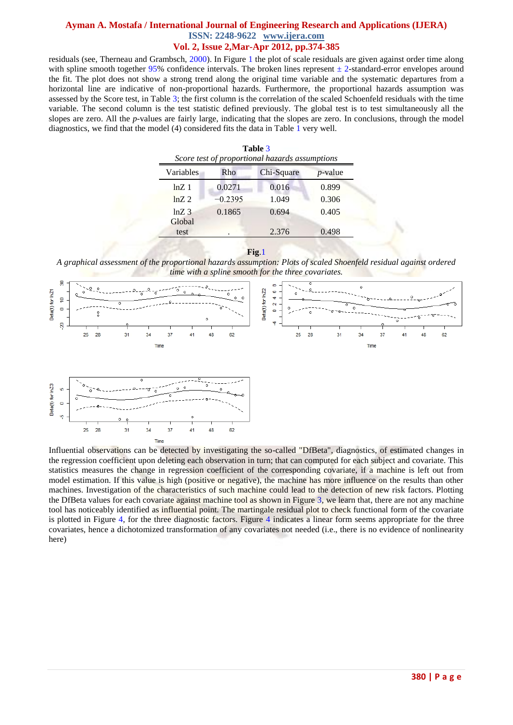residuals (see, Therneau and Grambsch, 2000). In Figure 1 the plot of scale residuals are given against order time along with spline smooth together 95% confidence intervals. The broken lines represent  $\pm$  2-standard-error envelopes around the fit. The plot does not show a strong trend along the original time variable and the systematic departures from a horizontal line are indicative of non-proportional hazards. Furthermore, the proportional hazards assumption was assessed by the Score test, in Table 3; the first column is the correlation of the scaled Schoenfeld residuals with the time variable. The second column is the test statistic defined previously. The global test is to test simultaneously all the slopes are zero. All the *p*-values are fairly large, indicating that the slopes are zero. In conclusions, through the model diagnostics, we find that the model (4) considered fits the data in Table 1 very well.

| Table 3<br>Score test of proportional hazards assumptions |           |            |                 |  |  |
|-----------------------------------------------------------|-----------|------------|-----------------|--|--|
| Variables                                                 | Rho       | Chi-Square | <i>p</i> -value |  |  |
| $ln Z$ 1                                                  | 0.0271    | 0.016      | 0.899           |  |  |
| $ln Z$ . 2.                                               | $-0.2395$ | 1.049      | 0.306           |  |  |
| $lnZ_3$<br>Global                                         | 0.1865    | 0.694      | 0.405           |  |  |
| test                                                      |           | 2.376      | 0.498           |  |  |

**Fig**.1

*A graphical assessment of the proportional hazards assumption: Plots of scaled Shoenfeld residual against ordered time with a spline smooth for the three covariates.*



Influential observations can be detected by investigating the so-called "DfBeta", diagnostics, of estimated changes in the regression coefficient upon deleting each observation in turn; that can computed for each subject and covariate. This statistics measures the change in regression coefficient of the corresponding covariate, if a machine is left out from model estimation. If this value is high (positive or negative), the machine has more influence on the results than other machines. Investigation of the characteristics of such machine could lead to the detection of new risk factors. Plotting the DfBeta values for each covariate against machine tool as shown in Figure 3, we learn that, there are not any machine tool has noticeably identified as influential point. The martingale residual plot to check functional form of the covariate is plotted in Figure 4, for the three diagnostic factors. Figure 4 indicates a linear form seems appropriate for the three covariates, hence a dichotomized transformation of any covariates not needed (i.e., there is no evidence of nonlinearity here)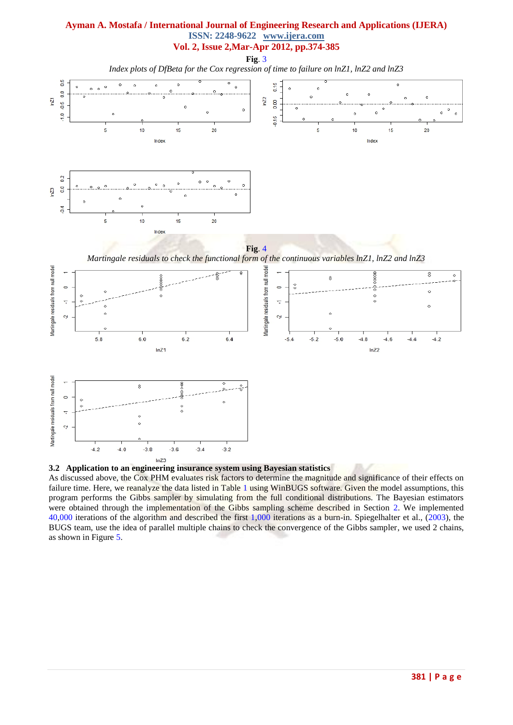**Fig**. 3

*Index plots of DfBeta for the Cox regression of time to failure on lnZ1, lnZ2 and lnZ3*





 $ln<sub>Z</sub>3$ 

As discussed above, the Cox PHM evaluates risk factors to determine the magnitude and significance of their effects on failure time. Here, we reanalyze the data listed in Table 1 using WinBUGS software. Given the model assumptions, this program performs the Gibbs sampler by simulating from the full conditional distributions. The Bayesian estimators were obtained through the implementation of the Gibbs sampling scheme described in Section 2. We implemented 40,000 iterations of the algorithm and described the first 1,000 iterations as a burn-in. Spiegelhalter et al., (2003), the BUGS team, use the idea of parallel multiple chains to check the convergence of the Gibbs sampler, we used 2 chains, as shown in Figure 5.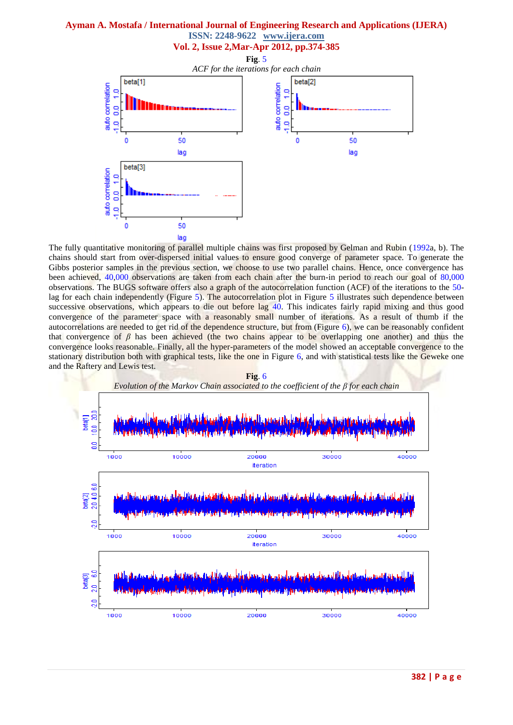#### **Ayman A. Mostafa / International Journal of Engineering Research and Applications (IJERA) ISSN: 2248-9622 www.ijera.com**

**Vol. 2, Issue 2,Mar-Apr 2012, pp.374-385**



The fully quantitative monitoring of parallel multiple chains was first proposed by Gelman and Rubin (1992a, b). The chains should start from over-dispersed initial values to ensure good converge of parameter space. To generate the Gibbs posterior samples in the previous section, we choose to use two parallel chains. Hence, once convergence has been achieved, 40,000 observations are taken from each chain after the burn-in period to reach our goal of 80,000 observations. The BUGS software offers also a graph of the autocorrelation function (ACF) of the iterations to the 50 lag for each chain independently (Figure 5). The autocorrelation plot in Figure 5 illustrates such dependence between successive observations, which appears to die out before lag 40. This indicates fairly rapid mixing and thus good convergence of the parameter space with a reasonably small number of iterations. As a result of thumb if the autocorrelations are needed to get rid of the dependence structure, but from (Figure 6), we can be reasonably confident that convergence of  $\beta$  has been achieved (the two chains appear to be overlapping one another) and thus the convergence looks reasonable. Finally, all the hyper-parameters of the model showed an acceptable convergence to the stationary distribution both with graphical tests, like the one in Figure 6, and with statistical tests like the Geweke one and the Raftery and Lewis test.

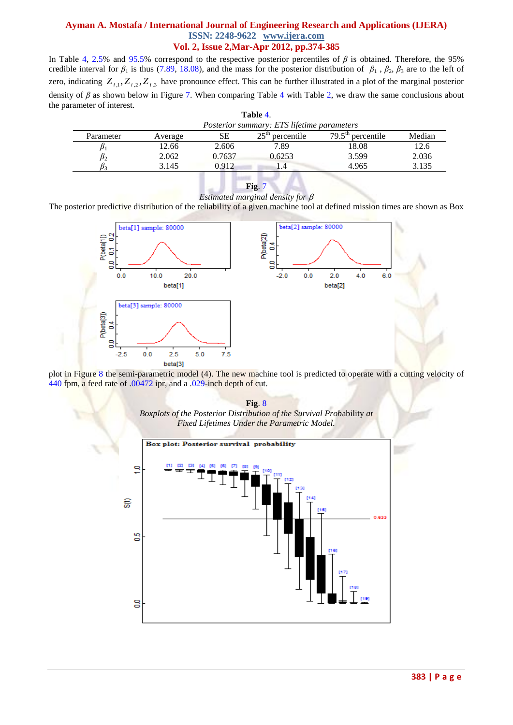In Table 4, 2.5% and 95.5% correspond to the respective posterior percentiles of *β* is obtained. Therefore, the 95% credible interval for  $\beta_1$  is thus (7.89, 18.08), and the mass for the posterior distribution of  $\beta_1$ ,  $\beta_2$ ,  $\beta_3$  are to the left of zero, indicating  $Z_{i,1}, Z_{i,2}, Z_{i,3}$  have pronounce effect. This can be further illustrated in a plot of the marginal posterior density of *β* as shown below in Figure 7. When comparing Table 4 with Table 2, we draw the same conclusions about the parameter of interest.

| Posterior summary: ETS lifetime parameters |        |                                |                                     |        |  |  |
|--------------------------------------------|--------|--------------------------------|-------------------------------------|--------|--|--|
| Average                                    | SЕ     | 25 <sup>th</sup><br>percentile | $79.5^{\text{th}}$ 1.<br>percentile | Median |  |  |
| 12.66                                      | 2.606  | 7.89                           | 18.08                               | 12.6   |  |  |
| 2.062                                      | 0.7637 | 0.6253                         | 3.599                               | 2.036  |  |  |
| 3.145                                      | 0.912  | .4                             | 4.965                               | 3.135  |  |  |
|                                            |        |                                | Table 4.                            |        |  |  |

**Fig**. 7 *Estimated marginal density for* 

The posterior predictive distribution of the reliability of a given machine tool at defined mission times are shown as Box



plot in Figure 8 the semi-parametric model (4). The new machine tool is predicted to operate with a cutting velocity of 440 fpm, a feed rate of .00472 ipr, and a .029-inch depth of cut.



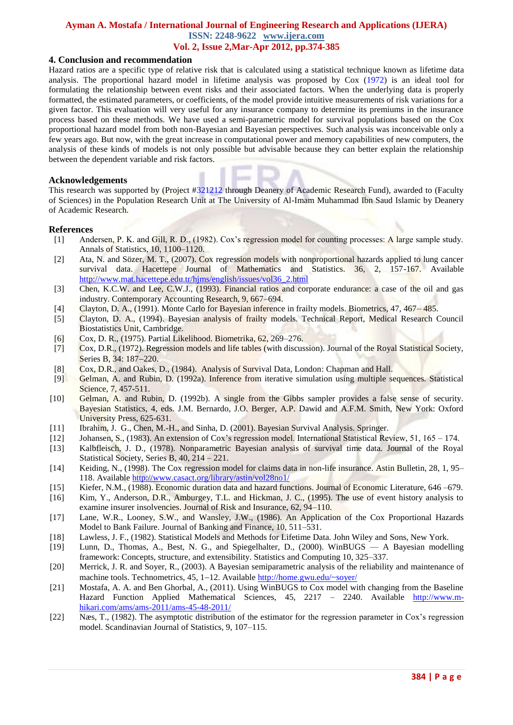#### **4. Conclusion and recommendation**

Hazard ratios are a specific type of relative risk that is calculated using a statistical technique known as lifetime data analysis. The proportional hazard model in lifetime analysis was proposed by Cox (1972) is an ideal tool for formulating the relationship between event risks and their associated factors. When the underlying data is properly formatted, the estimated parameters, or coefficients, of the model provide intuitive measurements of risk variations for a given factor. This evaluation will very useful for any insurance company to determine its premiums in the insurance process based on these methods. We have used a semi-parametric model for survival populations based on the Cox proportional hazard model from both non-Bayesian and Bayesian perspectives. Such analysis was inconceivable only a few years ago. But now, with the great increase in computational power and memory capabilities of new computers, the analysis of these kinds of models is not only possible but advisable because they can better explain the relationship between the dependent variable and risk factors.

#### **Acknowledgements**

This research was supported by (Project #321212 through Deanery of Academic Research Fund), awarded to (Faculty of Sciences) in the Population Research Unit at The University of Al-Imam Muhammad Ibn Saud Islamic by Deanery of Academic Research.

#### **References**

- [1] Andersen, P. K. and Gill, R. D., (1982). Cox's regression model for counting processes: A large sample study. Annals of Statistics, 10, 1100–1120.
- [2] Ata, N. and Sözer, M. T., (2007). Cox regression models with nonproportional hazards applied to lung cancer survival data. Hacettepe Journal of Mathematics and Statistics. 36, 2, 157-167. Available [http://www.mat.hacettepe.edu.tr/hjms/english/issues/vol36\\_2.html](http://www.mat.hacettepe.edu.tr/hjms/english/issues/vol36_2.html)
- [3] Chen, K.C.W. and Lee, C.W.J., (1993). Financial ratios and corporate endurance: a case of the oil and gas industry. Contemporary Accounting Research, 9, 667–694.
- [4] Clayton, D. A., (1991). Monte Carlo for Bayesian inference in frailty models. Biometrics, 47, 467– 485.
- [5] Clayton, D. A., (1994). Bayesian analysis of frailty models. Technical Report, Medical Research Council Biostatistics Unit, Cambridge.
- [6] Cox, D. R., (1975). Partial Likelihood. Biometrika, 62, 269–276.
- [7] Cox, D.R., (1972). Regression models and life tables (with discussion). Journal of the Royal Statistical Society, Series B, 34: 187-220.
- [8] Cox, D.R., and Oakes, D., (1984). Analysis of Survival Data, London: Chapman and Hall.
- [9] Gelman, A. and Rubin, D. (1992a). Inference from iterative simulation using multiple sequences. Statistical Science, 7, 457-511.
- [10] Gelman, A. and Rubin, D. (1992b). A single from the Gibbs sampler provides a false sense of security. Bayesian Statistics, 4, eds. J.M. Bernardo, J.O. Berger, A.P. Dawid and A.F.M. Smith, New York: Oxford University Press, 625-631.
- [11] Ibrahim, J. G., Chen, M.-H., and Sinha, D. (2001). Bayesian Survival Analysis. Springer.
- [12] Johansen, S., (1983). An extension of Cox's regression model. International Statistical Review, 51, 165 174.
- [13] Kalbfleisch, J. D., (1978). Nonparametric Bayesian analysis of survival time data. Journal of the Royal Statistical Society, Series B, 40, 214 – 221.
- [14] Keiding, N., (1998). The Cox regression model for claims data in non-life insurance. Astin Bulletin, 28, 1, 95– 118. Available<http://www.casact.org/library/astin/vol28no1/>
- [15] Kiefer, N.M., (1988). Economic duration data and hazard functions. Journal of Economic Literature, 646 –679.
- [16] Kim, Y., Anderson, D.R., Amburgey, T.L. and Hickman, J. C., (1995). The use of event history analysis to examine insurer insolvencies. Journal of Risk and Insurance, 62, 94–110.
- [17] Lane, W.R., Looney, S.W., and Wansley, J.W., (1986). An Application of the Cox Proportional Hazards Model to Bank Failure. Journal of Banking and Finance, 10, 511–531.
- [18] Lawless, J. F., (1982). Statistical Models and Methods for Lifetime Data. John Wiley and Sons, New York.
- [19] Lunn, D., Thomas, A., Best, N. G., and Spiegelhalter, D., (2000). WinBUGS A Bayesian modelling framework: Concepts, structure, and extensibility. Statistics and Computing 10, 325–337.
- [20] Merrick, J. R. and Soyer, R., (2003). A Bayesian semiparametric analysis of the reliability and maintenance of machine tools. Technometrics,  $45$ ,  $1-12$ . Available<http://home.gwu.edu/~soyer/>
- [21] Mostafa, A. A. and Ben Ghorbal, A., (2011). Using WinBUGS to Cox model with changing from the Baseline Hazard Function Applied Mathematical Sciences, 45, 2217 – 2240. Available [http://www.m](http://www.m-hikari.com/ams/ams-2011/ams-45-48-2011/)[hikari.com/ams/ams-2011/ams-45-48-2011/](http://www.m-hikari.com/ams/ams-2011/ams-45-48-2011/)
- [22] Næs, T., (1982). The asymptotic distribution of the estimator for the regression parameter in Cox's regression model. Scandinavian Journal of Statistics, 9, 107–115.